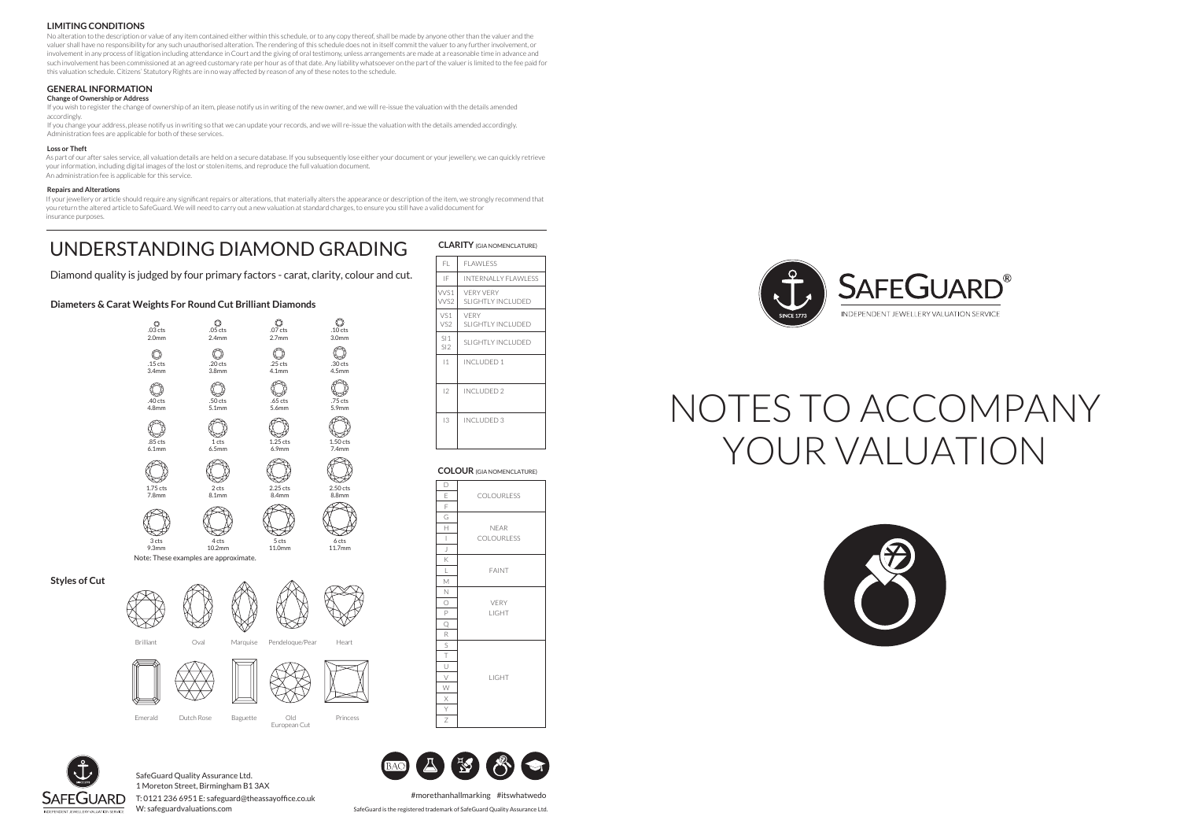Brilliant Oval Marquise Pendeloque/Pear Heart

Emerald Dutch Rose Baguette Old Princess

European Cut

# NOTES TO ACCOMPANY YOUR VALUATION



#### **LIMITING CONDITIONS**

No alteration to the description or value of any item contained either within this schedule, or to any copy thereof, shall be made by anyone other than the valuer and the valuer shall have no responsibility for any such unauthorised alteration. The rendering of this schedule does not in itself commit the valuer to any further involvement, or involvement in any process of litigation including attendance in Court and the giving of oral testimony, unless arrangements are made at a reasonable time in advance and such involvement has been commissioned at an agreed customary rate per hour as of that date. Any liability whatsoever on the part of the valuer is limited to the fee paid for this valuation schedule. Citizens' Statutory Rights are in no way affected by reason of any of these notes to the schedule.

#### **GENERAL INFORMATION**

#### **Change of Ownership or Address**

If your jewellery or article should require any significant repairs or alterations, that materially alters the appearance or description of the item, we strongly recommend that you return the altered article to SafeGuard. We will need to carry out a new valuation at standard charges, to ensure you still have a valid document for insurance purposes.

If you wish to register the change of ownership of an item, please notify us in writing of the new owner, and we will re-issue the valuation with the details amended accordingly.

If you change your address, please notify us in writing so that we can update your records, and we will re-issue the valuation with the details amended accordingly. Administration fees are applicable for both of these services.

#### **Loss or Theft**

I 2.50 cts 8.8mm 6 cts 11.7mm 11.0mm

As part of our after sales service, all valuation details are held on a secure database. If you subsequently lose either your document or your jewellery, we can quickly retrieve your information, including digital images of the lost or stolen items, and reproduce the full valuation document. An administration fee is applicable for this service.

#### **Repairs and Alterations**

#morethanhallmarking #itswhatwedo

W: safeguardvaluations.com SafeGuard is the registered trademark of SafeGuard Quality Assurance Ltd.

SafeGuard Quality Assurance Ltd. 1 Moreton Street, Birmingham B1 3AX T: 0121 236 6951 E: safeguard@theassayoffice.co.uk

## UNDERSTANDING DIAMOND GRADING

**Styles of Cut**

.10 cts 3.0mm

 $\circledcirc$ 

.30 cts 4.5mm

 $\mathbb{Q}$ 



.75 cts 5.9mm

O

1.50 cts 7.4mm

Q



9.3mm

10.2mm

Note: These examples are approximate.

Diamond quality is judged by four primary factors - carat, clarity, colour and cut.

| <b>CLARITY</b> (GIA NOMENCLATURE) |                                              |
|-----------------------------------|----------------------------------------------|
| FL.                               | <b>FLAWLESS</b>                              |
| IF                                | <b>INTERNALLY FLAWLESS</b>                   |
| WS1<br>WS <sub>2</sub>            | <b>VFRY VFRY</b><br><b>SLIGHTLY INCLUDED</b> |
| VS1<br>VS <sub>2</sub>            | VFRY<br>SLIGHTLY INCLUDED                    |
| S11<br>SI2                        | SLIGHTLY INCLUDED                            |
| $\mathsf{I}$                      | INCLUDED 1                                   |
| 12                                | INCLUDED 2                                   |
| 13                                | INCLUDED 3                                   |

| D                                                                                                                                                                                                                                                                                                                                                                                |                   |  |
|----------------------------------------------------------------------------------------------------------------------------------------------------------------------------------------------------------------------------------------------------------------------------------------------------------------------------------------------------------------------------------|-------------------|--|
| Е                                                                                                                                                                                                                                                                                                                                                                                | <b>COLOURLESS</b> |  |
| F                                                                                                                                                                                                                                                                                                                                                                                |                   |  |
| G                                                                                                                                                                                                                                                                                                                                                                                |                   |  |
| Н                                                                                                                                                                                                                                                                                                                                                                                | <b>NEAR</b>       |  |
| $\begin{array}{c} \rule{0pt}{2.5ex} \rule{0pt}{2.5ex} \rule{0pt}{2.5ex} \rule{0pt}{2.5ex} \rule{0pt}{2.5ex} \rule{0pt}{2.5ex} \rule{0pt}{2.5ex} \rule{0pt}{2.5ex} \rule{0pt}{2.5ex} \rule{0pt}{2.5ex} \rule{0pt}{2.5ex} \rule{0pt}{2.5ex} \rule{0pt}{2.5ex} \rule{0pt}{2.5ex} \rule{0pt}{2.5ex} \rule{0pt}{2.5ex} \rule{0pt}{2.5ex} \rule{0pt}{2.5ex} \rule{0pt}{2.5ex} \rule{0$ | <b>COLOURLESS</b> |  |
| J                                                                                                                                                                                                                                                                                                                                                                                |                   |  |
| Κ                                                                                                                                                                                                                                                                                                                                                                                |                   |  |
| L                                                                                                                                                                                                                                                                                                                                                                                | <b>FAINT</b>      |  |
| М                                                                                                                                                                                                                                                                                                                                                                                |                   |  |
| Ν                                                                                                                                                                                                                                                                                                                                                                                |                   |  |
| $\bigcirc$                                                                                                                                                                                                                                                                                                                                                                       | <b>VERY</b>       |  |
| P                                                                                                                                                                                                                                                                                                                                                                                | <b>LIGHT</b>      |  |
| Q                                                                                                                                                                                                                                                                                                                                                                                |                   |  |
| R                                                                                                                                                                                                                                                                                                                                                                                |                   |  |
| $\mathsf{S}$                                                                                                                                                                                                                                                                                                                                                                     |                   |  |
| $\top$                                                                                                                                                                                                                                                                                                                                                                           |                   |  |
| $\underline{\cup}$                                                                                                                                                                                                                                                                                                                                                               |                   |  |
| $\bigvee$                                                                                                                                                                                                                                                                                                                                                                        | LIGHT             |  |
| W                                                                                                                                                                                                                                                                                                                                                                                |                   |  |
| X                                                                                                                                                                                                                                                                                                                                                                                |                   |  |
| Y                                                                                                                                                                                                                                                                                                                                                                                |                   |  |
| Z                                                                                                                                                                                                                                                                                                                                                                                |                   |  |



#### **COLOUR** (GIA NOMENCLATURE)